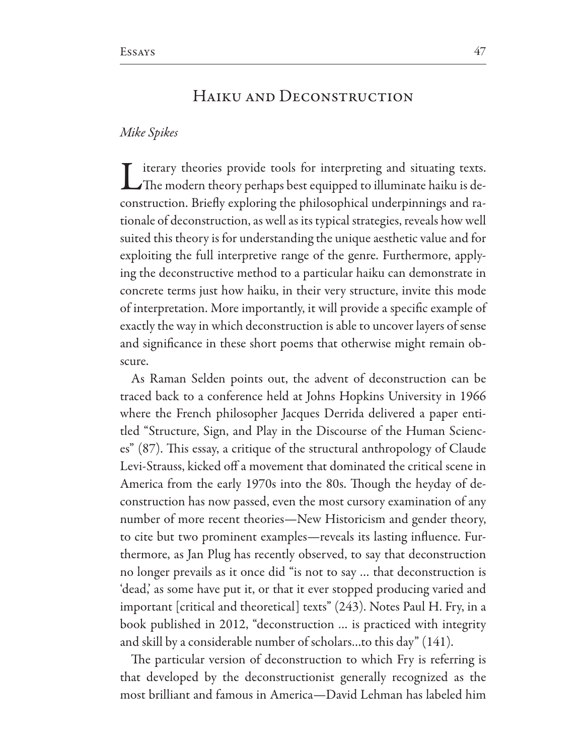# HAIKU AND DECONSTRUCTION

# Mike Spikes

iterary theories provide tools for interpreting and situating texts. The modern theory perhaps best equipped to illuminate haiku is deconstruction. Briefly exploring the philosophical underpinnings and rationale of deconstruction, as well as its typical strategies, reveals how well suited this theory is for understanding the unique aesthetic value and for exploiting the full interpretive range of the genre. Furthermore, applying the deconstructive method to a particular haiku can demonstrate in concrete terms just how haiku, in their very structure, invite this mode of interpretation. More importantly, it will provide a specific example of exactly the way in which deconstruction is able to uncover layers of sense and significance in these short poems that otherwise might remain obscure.

As Raman Selden points out, the advent of deconstruction can be traced back to a conference held at Johns Hopkins University in 1966 where the French philosopher Jacques Derrida delivered a paper entitled "Structure, Sign, and Play in the Discourse of the Human Sciences" (87). This essay, a critique of the structural anthropology of Claude Levi-Strauss, kicked off a movement that dominated the critical scene in America from the early 1970s into the 80s. Though the heyday of deconstruction has now passed, even the most cursory examination of any number of more recent theories—New Historicism and gender theory, to cite but two prominent examples—reveals its lasting influence. Furthermore, as Jan Plug has recently observed, to say that deconstruction no longer prevails as it once did "is not to say ... that deconstruction is 'dead,' as some have put it, or that it ever stopped producing varied and important [critical and theoretical] texts" (243). Notes Paul H. Fry, in a book published in 2012, "deconstruction ... is practiced with integrity and skill by a considerable number of scholars...to this day" (141).

The particular version of deconstruction to which Fry is referring is that developed by the deconstructionist generally recognized as the most brilliant and famous in America—David Lehman has labeled him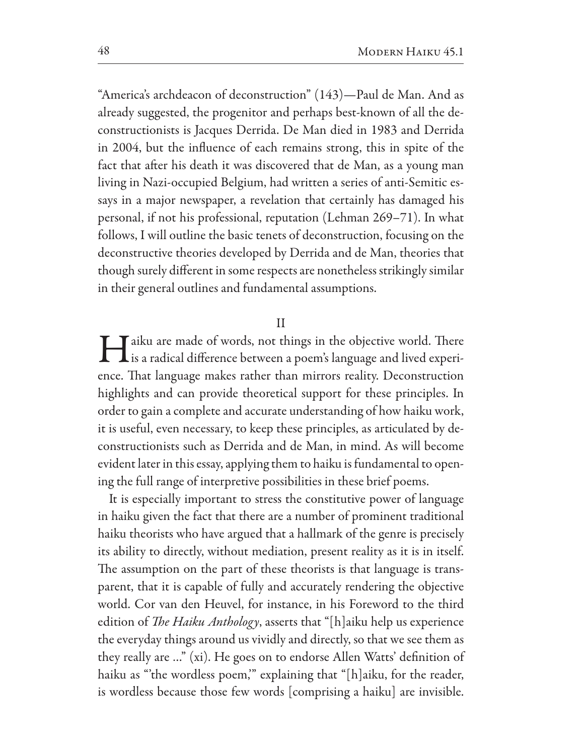"America's archdeacon of deconstruction" (143)—Paul de Man. And as already suggested, the progenitor and perhaps best-known of all the deconstructionists is Jacques Derrida. De Man died in 1983 and Derrida in 2004, but the influence of each remains strong, this in spite of the fact that after his death it was discovered that de Man, as a young man living in Nazi-occupied Belgium, had written a series of anti-Semitic essays in a major newspaper, a revelation that certainly has damaged his personal, if not his professional, reputation (Lehman 269–71). In what follows, I will outline the basic tenets of deconstruction, focusing on the deconstructive theories developed by Derrida and de Man, theories that though surely different in some respects are nonetheless strikingly similar in their general outlines and fundamental assumptions.

#### $\rm II$

Taiku are made of words, not things in the objective world. There I is a radical difference between a poem's language and lived experience. That language makes rather than mirrors reality. Deconstruction highlights and can provide theoretical support for these principles. In order to gain a complete and accurate understanding of how haiku work, it is useful, even necessary, to keep these principles, as articulated by deconstructionists such as Derrida and de Man, in mind. As will become evident later in this essay, applying them to haiku is fundamental to opening the full range of interpretive possibilities in these brief poems.

It is especially important to stress the constitutive power of language in haiku given the fact that there are a number of prominent traditional haiku theorists who have argued that a hallmark of the genre is precisely its ability to directly, without mediation, present reality as it is in itself. The assumption on the part of these theorists is that language is transparent, that it is capable of fully and accurately rendering the objective world. Cor van den Heuvel, for instance, in his Foreword to the third edition of *The Haiku Anthology*, asserts that "[h]aiku help us experience the everyday things around us vividly and directly, so that we see them as they really are ..." (xi). He goes on to endorse Allen Watts' definition of haiku as "the wordless poem," explaining that "[h]aiku, for the reader, is wordless because those few words [comprising a haiku] are invisible.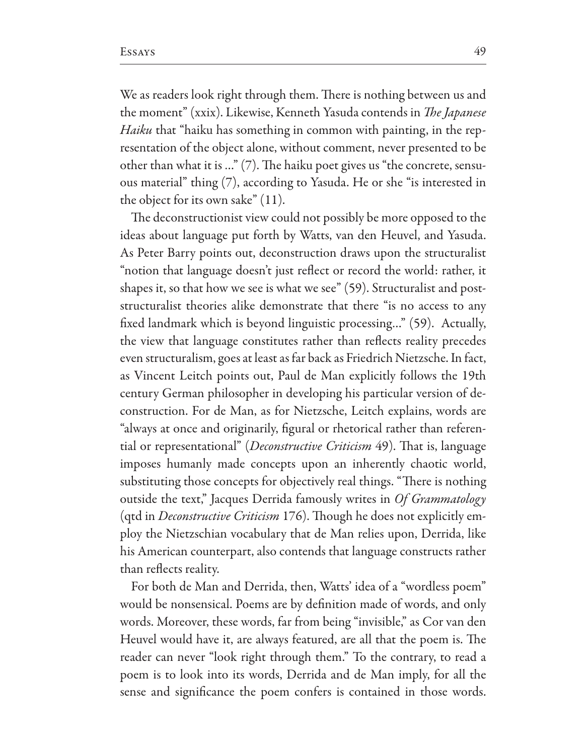We as readers look right through them. There is nothing between us and the moment" (xxix). Likewise, Kenneth Yasuda contends in The Japanese Haiku that "haiku has something in common with painting, in the representation of the object alone, without comment, never presented to be other than what it is ..." (7). The haiku poet gives us "the concrete, sensuous material" thing (7), according to Yasuda. He or she "is interested in the object for its own sake"  $(11)$ .

The deconstructionist view could not possibly be more opposed to the ideas about language put forth by Watts, van den Heuvel, and Yasuda. As Peter Barry points out, deconstruction draws upon the structuralist "notion that language doesn't just reflect or record the world: rather, it shapes it, so that how we see is what we see" (59). Structuralist and poststructuralist theories alike demonstrate that there "is no access to any fixed landmark which is beyond linguistic processing..." (59). Actually, the view that language constitutes rather than reflects reality precedes even structuralism, goes at least as far back as Friedrich Nietzsche. In fact, as Vincent Leitch points out, Paul de Man explicitly follows the 19th century German philosopher in developing his particular version of deconstruction. For de Man, as for Nietzsche, Leitch explains, words are "always at once and originarily, figural or rhetorical rather than referential or representational" (*Deconstructive Criticism* 49). That is, language imposes humanly made concepts upon an inherently chaotic world, substituting those concepts for objectively real things. "There is nothing outside the text," Jacques Derrida famously writes in Of Grammatology (qtd in *Deconstructive Criticism* 176). Though he does not explicitly employ the Nietzschian vocabulary that de Man relies upon, Derrida, like his American counterpart, also contends that language constructs rather than reflects reality.

For both de Man and Derrida, then, Watts' idea of a "wordless poem" would be nonsensical. Poems are by definition made of words, and only words. Moreover, these words, far from being "invisible," as Cor van den Heuvel would have it, are always featured, are all that the poem is. The reader can never "look right through them." To the contrary, to read a poem is to look into its words, Derrida and de Man imply, for all the sense and significance the poem confers is contained in those words.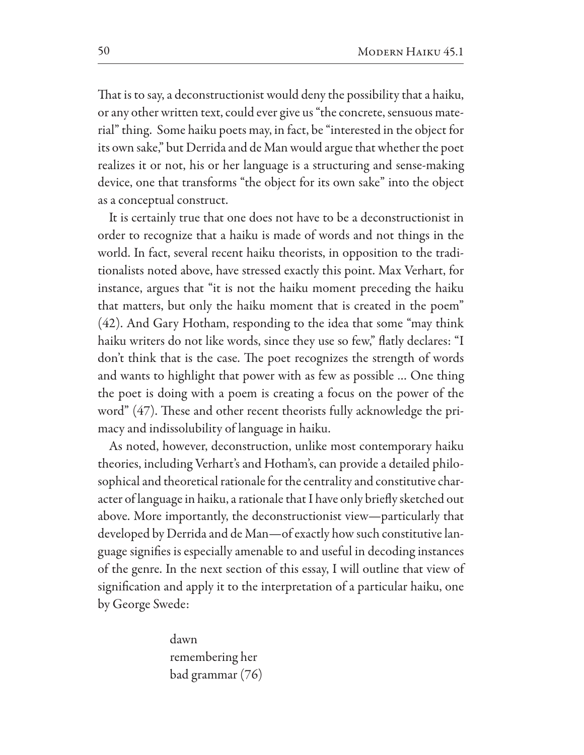That is to say, a deconstructionist would deny the possibility that a haiku, or any other written text, could ever give us "the concrete, sensuous material" thing. Some haiku poets may, in fact, be "interested in the object for its own sake," but Derrida and de Man would argue that whether the poet realizes it or not, his or her language is a structuring and sense-making device, one that transforms "the object for its own sake" into the object as a conceptual construct.

It is certainly true that one does not have to be a deconstructionist in order to recognize that a haiku is made of words and not things in the world. In fact, several recent haiku theorists, in opposition to the traditionalists noted above, have stressed exactly this point. Max Verhart, for instance, argues that "it is not the haiku moment preceding the haiku that matters, but only the haiku moment that is created in the poem" (42). And Gary Hotham, responding to the idea that some "may think haiku writers do not like words, since they use so few," flatly declares: "I don't think that is the case. The poet recognizes the strength of words and wants to highlight that power with as few as possible ... One thing the poet is doing with a poem is creating a focus on the power of the word" (47). These and other recent theorists fully acknowledge the primacy and indissolubility of language in haiku.

As noted, however, deconstruction, unlike most contemporary haiku theories, including Verhart's and Hotham's, can provide a detailed philosophical and theoretical rationale for the centrality and constitutive character of language in haiku, a rationale that I have only briefly sketched out above. More importantly, the deconstructionist view—particularly that developed by Derrida and de Man-of exactly how such constitutive language signifies is especially amenable to and useful in decoding instances of the genre. In the next section of this essay, I will outline that view of signification and apply it to the interpretation of a particular haiku, one by George Swede:

> dawn remembering her bad grammar (76)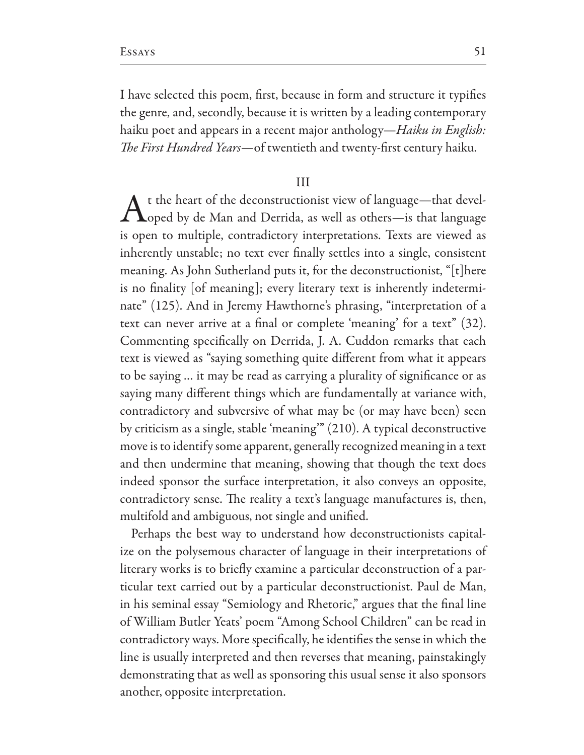I have selected this poem, first, because in form and structure it typifies the genre, and, secondly, because it is written by a leading contemporary haiku poet and appears in a recent major anthology—*Haiku in English*: The First Hundred Years-of twentieth and twenty-first century haiku.

#### $III$

t the heart of the deconstructionist view of language-that devel- $\Lambda$ oped by de Man and Derrida, as well as others—is that language is open to multiple, contradictory interpretations. Texts are viewed as inherently unstable; no text ever finally settles into a single, consistent meaning. As John Sutherland puts it, for the deconstructionist, "[t]here is no finality [of meaning]; every literary text is inherently indeterminate" (125). And in Jeremy Hawthorne's phrasing, "interpretation of a text can never arrive at a final or complete 'meaning' for a text" (32). Commenting specifically on Derrida, J. A. Cuddon remarks that each text is viewed as "saying something quite different from what it appears to be saying ... it may be read as carrying a plurality of significance or as saying many different things which are fundamentally at variance with, contradictory and subversive of what may be (or may have been) seen by criticism as a single, stable 'meaning" (210). A typical deconstructive move is to identify some apparent, generally recognized meaning in a text and then undermine that meaning, showing that though the text does indeed sponsor the surface interpretation, it also conveys an opposite, contradictory sense. The reality a text's language manufactures is, then, multifold and ambiguous, not single and unified.

Perhaps the best way to understand how deconstructionists capitalize on the polysemous character of language in their interpretations of literary works is to briefly examine a particular deconstruction of a particular text carried out by a particular deconstructionist. Paul de Man, in his seminal essay "Semiology and Rhetoric," argues that the final line of William Butler Yeats' poem "Among School Children" can be read in contradictory ways. More specifically, he identifies the sense in which the line is usually interpreted and then reverses that meaning, painstakingly demonstrating that as well as sponsoring this usual sense it also sponsors another, opposite interpretation.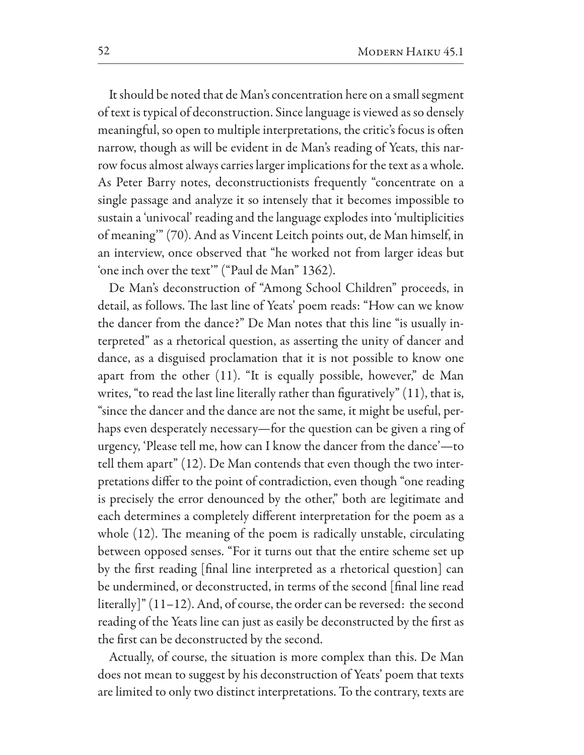It should be noted that de Man's concentration here on a small segment of text is typical of deconstruction. Since language is viewed as so densely meaningful, so open to multiple interpretations, the critic's focus is often narrow, though as will be evident in de Man's reading of Yeats, this narrow focus almost always carries larger implications for the text as a whole. As Peter Barry notes, deconstructionists frequently "concentrate on a single passage and analyze it so intensely that it becomes impossible to sustain a 'univocal' reading and the language explodes into 'multiplicities of meaning" (70). And as Vincent Leitch points out, de Man himself, in an interview, once observed that "he worked not from larger ideas but 'one inch over the text'" ("Paul de Man" 1362).

De Man's deconstruction of "Among School Children" proceeds, in detail, as follows. The last line of Yeats' poem reads: "How can we know the dancer from the dance?" De Man notes that this line "is usually interpreted" as a rhetorical question, as asserting the unity of dancer and dance, as a disguised proclamation that it is not possible to know one apart from the other (11). "It is equally possible, however," de Man writes, "to read the last line literally rather than figuratively" (11), that is, "since the dancer and the dance are not the same, it might be useful, perhaps even desperately necessary—for the question can be given a ring of urgency, 'Please tell me, how can I know the dancer from the dance'—to tell them apart" (12). De Man contends that even though the two interpretations differ to the point of contradiction, even though "one reading" is precisely the error denounced by the other," both are legitimate and each determines a completely different interpretation for the poem as a whole (12). The meaning of the poem is radically unstable, circulating between opposed senses. "For it turns out that the entire scheme set up by the first reading [final line interpreted as a rhetorical question] can be undermined, or deconstructed, in terms of the second [final line read  $\left[ \frac{1}{2} \right]$  (11–12). And, of course, the order can be reversed: the second reading of the Yeats line can just as easily be deconstructed by the first as the first can be deconstructed by the second.

Actually, of course, the situation is more complex than this. De Man does not mean to suggest by his deconstruction of Yeats' poem that texts are limited to only two distinct interpretations. To the contrary, texts are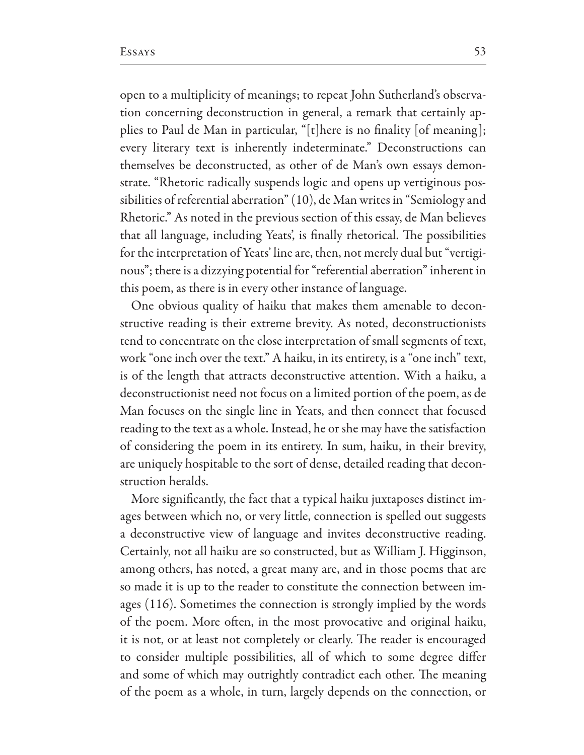open to a multiplicity of meanings; to repeat John Sutherland's observation concerning deconstruction in general, a remark that certainly applies to Paul de Man in particular, "[t] here is no finality [of meaning]; every literary text is inherently indeterminate." Deconstructions can themselves be deconstructed, as other of de Man's own essays demonstrate. "Rhetoric radically suspends logic and opens up vertiginous possibilities of referential aberration" (10), de Man writes in "Semiology and Rhetoric." As noted in the previous section of this essay, de Man believes that all language, including Yeats', is finally rhetorical. The possibilities for the interpretation of Yeats' line are, then, not merely dual but "vertiginous"; there is a dizzying potential for "referential aberration" inherent in this poem, as there is in every other instance of language.

One obvious quality of haiku that makes them amenable to deconstructive reading is their extreme brevity. As noted, deconstructionists tend to concentrate on the close interpretation of small segments of text, work "one inch over the text." A haiku, in its entirety, is a "one inch" text, is of the length that attracts deconstructive attention. With a haiku, a deconstructionist need not focus on a limited portion of the poem, as de Man focuses on the single line in Yeats, and then connect that focused reading to the text as a whole. Instead, he or she may have the satisfaction of considering the poem in its entirety. In sum, haiku, in their brevity, are uniquely hospitable to the sort of dense, detailed reading that deconstruction heralds.

More significantly, the fact that a typical haiku juxtaposes distinct images between which no, or very little, connection is spelled out suggests a deconstructive view of language and invites deconstructive reading. Certainly, not all haiku are so constructed, but as William J. Higginson, among others, has noted, a great many are, and in those poems that are so made it is up to the reader to constitute the connection between images (116). Sometimes the connection is strongly implied by the words of the poem. More often, in the most provocative and original haiku, it is not, or at least not completely or clearly. The reader is encouraged to consider multiple possibilities, all of which to some degree differ and some of which may outrightly contradict each other. The meaning of the poem as a whole, in turn, largely depends on the connection, or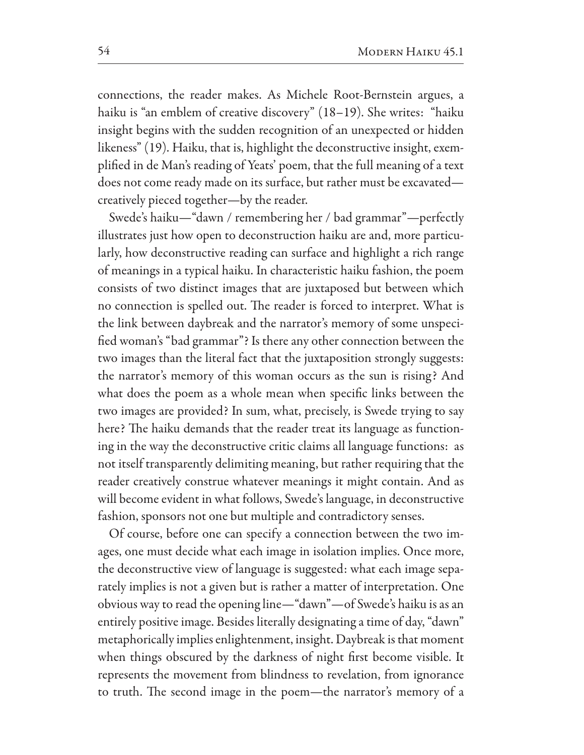connections, the reader makes. As Michele Root-Bernstein argues, a haiku is "an emblem of creative discovery" (18-19). She writes: "haiku insight begins with the sudden recognition of an unexpected or hidden likeness" (19). Haiku, that is, highlight the deconstructive insight, exemplified in de Man's reading of Yeats' poem, that the full meaning of a text does not come ready made on its surface, but rather must be excavatedcreatively pieced together-by the reader.

Swede's haiku-"dawn / remembering her / bad grammar"-perfectly illustrates just how open to deconstruction haiku are and, more particularly, how deconstructive reading can surface and highlight a rich range of meanings in a typical haiku. In characteristic haiku fashion, the poem consists of two distinct images that are juxtaposed but between which no connection is spelled out. The reader is forced to interpret. What is the link between daybreak and the narrator's memory of some unspecified woman's "bad grammar"? Is there any other connection between the two images than the literal fact that the juxtaposition strongly suggests: the narrator's memory of this woman occurs as the sun is rising? And what does the poem as a whole mean when specific links between the two images are provided? In sum, what, precisely, is Swede trying to say here? The haiku demands that the reader treat its language as functioning in the way the deconstructive critic claims all language functions: as not itself transparently delimiting meaning, but rather requiring that the reader creatively construe whatever meanings it might contain. And as will become evident in what follows, Swede's language, in deconstructive fashion, sponsors not one but multiple and contradictory senses.

Of course, before one can specify a connection between the two images, one must decide what each image in isolation implies. Once more, the deconstructive view of language is suggested: what each image separately implies is not a given but is rather a matter of interpretation. One obvious way to read the opening line-"dawn"-of Swede's haiku is as an entirely positive image. Besides literally designating a time of day, "dawn" metaphorically implies enlightenment, insight. Daybreak is that moment when things obscured by the darkness of night first become visible. It represents the movement from blindness to revelation, from ignorance to truth. The second image in the poem-the narrator's memory of a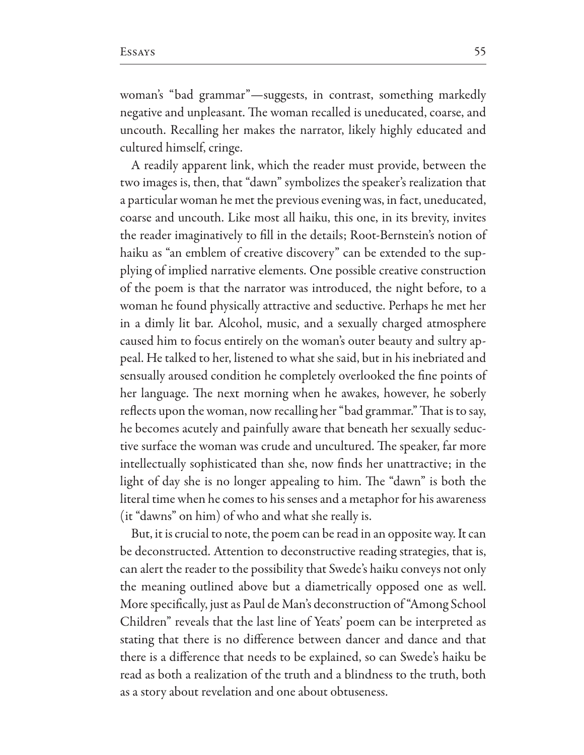woman's "bad grammar"-suggests, in contrast, something markedly negative and unpleasant. The woman recalled is uneducated, coarse, and uncouth. Recalling her makes the narrator, likely highly educated and cultured himself, cringe.

A readily apparent link, which the reader must provide, between the two images is, then, that "dawn" symbolizes the speaker's realization that a particular woman he met the previous evening was, in fact, uneducated, coarse and uncouth. Like most all haiku, this one, in its brevity, invites the reader imaginatively to fill in the details; Root-Bernstein's notion of haiku as "an emblem of creative discovery" can be extended to the supplying of implied narrative elements. One possible creative construction of the poem is that the narrator was introduced, the night before, to a woman he found physically attractive and seductive. Perhaps he met her in a dimly lit bar. Alcohol, music, and a sexually charged atmosphere caused him to focus entirely on the woman's outer beauty and sultry appeal. He talked to her, listened to what she said, but in his inebriated and sensually aroused condition he completely overlooked the fine points of her language. The next morning when he awakes, however, he soberly reflects upon the woman, now recalling her "bad grammar." That is to say, he becomes acutely and painfully aware that beneath her sexually seductive surface the woman was crude and uncultured. The speaker, far more intellectually sophisticated than she, now finds her unattractive; in the light of day she is no longer appealing to him. The "dawn" is both the literal time when he comes to his senses and a metaphor for his awareness (it "dawns" on him) of who and what she really is.

But, it is crucial to note, the poem can be read in an opposite way. It can be deconstructed. Attention to deconstructive reading strategies, that is, can alert the reader to the possibility that Swede's haiku conveys not only the meaning outlined above but a diametrically opposed one as well. More specifically, just as Paul de Man's deconstruction of "Among School Children" reveals that the last line of Yeats' poem can be interpreted as stating that there is no difference between dancer and dance and that there is a difference that needs to be explained, so can Swede's haiku be read as both a realization of the truth and a blindness to the truth, both as a story about revelation and one about obtuseness.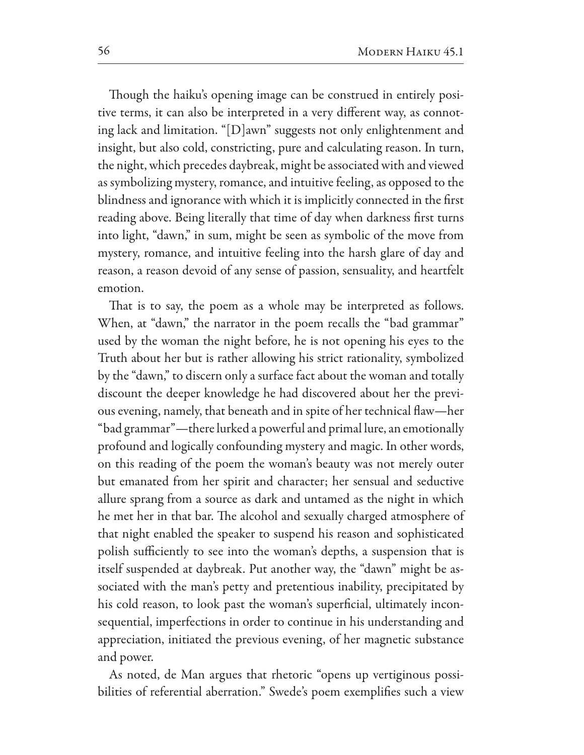Though the haiku's opening image can be construed in entirely positive terms, it can also be interpreted in a very different way, as connoting lack and limitation. "[D]awn" suggests not only enlightenment and insight, but also cold, constricting, pure and calculating reason. In turn, the night, which precedes daybreak, might be associated with and viewed as symbolizing mystery, romance, and intuitive feeling, as opposed to the blindness and ignorance with which it is implicitly connected in the first reading above. Being literally that time of day when darkness first turns into light, "dawn," in sum, might be seen as symbolic of the move from mystery, romance, and intuitive feeling into the harsh glare of day and reason, a reason devoid of any sense of passion, sensuality, and heartfelt emotion.

That is to say, the poem as a whole may be interpreted as follows. When, at "dawn," the narrator in the poem recalls the "bad grammar" used by the woman the night before, he is not opening his eyes to the Truth about her but is rather allowing his strict rationality, symbolized by the "dawn," to discern only a surface fact about the woman and totally discount the deeper knowledge he had discovered about her the previous evening, namely, that beneath and in spite of her technical flaw-her "bad grammar"—there lurked a powerful and primal lure, an emotionally profound and logically confounding mystery and magic. In other words, on this reading of the poem the woman's beauty was not merely outer but emanated from her spirit and character; her sensual and seductive allure sprang from a source as dark and untamed as the night in which he met her in that bar. The alcohol and sexually charged atmosphere of that night enabled the speaker to suspend his reason and sophisticated polish sufficiently to see into the woman's depths, a suspension that is itself suspended at daybreak. Put another way, the "dawn" might be associated with the man's petty and pretentious inability, precipitated by his cold reason, to look past the woman's superficial, ultimately inconsequential, imperfections in order to continue in his understanding and appreciation, initiated the previous evening, of her magnetic substance and power.

As noted, de Man argues that rhetoric "opens up vertiginous possibilities of referential aberration." Swede's poem exemplifies such a view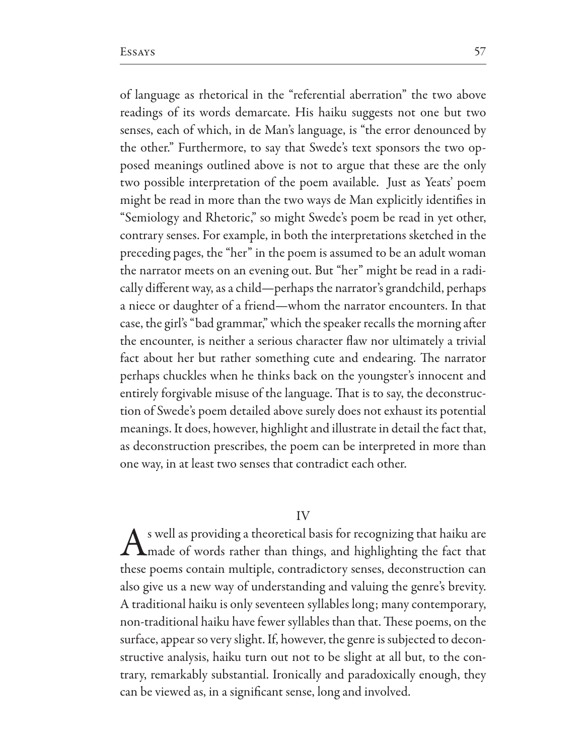of language as rhetorical in the "referential aberration" the two above readings of its words demarcate. His haiku suggests not one but two senses, each of which, in de Man's language, is "the error denounced by the other." Furthermore, to say that Swede's text sponsors the two opposed meanings outlined above is not to argue that these are the only two possible interpretation of the poem available. Just as Yeats' poem might be read in more than the two ways de Man explicitly identifies in "Semiology and Rhetoric," so might Swede's poem be read in yet other, contrary senses. For example, in both the interpretations sketched in the preceding pages, the "her" in the poem is assumed to be an adult woman the narrator meets on an evening out. But "her" might be read in a radically different way, as a child-perhaps the narrator's grandchild, perhaps a niece or daughter of a friend—whom the narrator encounters. In that case, the girl's "bad grammar," which the speaker recalls the morning after the encounter, is neither a serious character flaw nor ultimately a trivial fact about her but rather something cute and endearing. The narrator perhaps chuckles when he thinks back on the youngster's innocent and entirely forgivable misuse of the language. That is to say, the deconstruction of Swede's poem detailed above surely does not exhaust its potential meanings. It does, however, highlight and illustrate in detail the fact that, as deconstruction prescribes, the poem can be interpreted in more than one way, in at least two senses that contradict each other.

## IV

s well as providing a theoretical basis for recognizing that haiku are I made of words rather than things, and highlighting the fact that these poems contain multiple, contradictory senses, deconstruction can also give us a new way of understanding and valuing the genre's brevity. A traditional haiku is only seventeen syllables long; many contemporary, non-traditional haiku have fewer syllables than that. These poems, on the surface, appear so very slight. If, however, the genre is subjected to deconstructive analysis, haiku turn out not to be slight at all but, to the contrary, remarkably substantial. Ironically and paradoxically enough, they can be viewed as, in a significant sense, long and involved.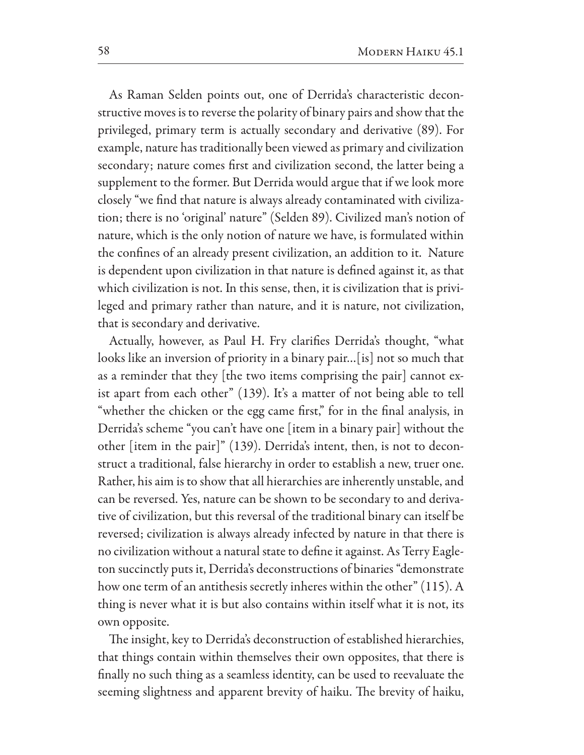As Raman Selden points out, one of Derrida's characteristic deconstructive moves is to reverse the polarity of binary pairs and show that the privileged, primary term is actually secondary and derivative (89). For example, nature has traditionally been viewed as primary and civilization secondary; nature comes first and civilization second, the latter being a supplement to the former. But Derrida would argue that if we look more closely "we find that nature is always already contaminated with civilization; there is no 'original' nature" (Selden 89). Civilized man's notion of nature, which is the only notion of nature we have, is formulated within the confines of an already present civilization, an addition to it. Nature is dependent upon civilization in that nature is defined against it, as that which civilization is not. In this sense, then, it is civilization that is privileged and primary rather than nature, and it is nature, not civilization, that is secondary and derivative.

Actually, however, as Paul H. Fry clarifies Derrida's thought, "what looks like an inversion of priority in a binary pair...[is] not so much that as a reminder that they [the two items comprising the pair] cannot exist apart from each other" (139). It's a matter of not being able to tell "whether the chicken or the egg came first," for in the final analysis, in Derrida's scheme "you can't have one [item in a binary pair] without the other [item in the pair]" (139). Derrida's intent, then, is not to deconstruct a traditional, false hierarchy in order to establish a new, truer one. Rather, his aim is to show that all hierarchies are inherently unstable, and can be reversed. Yes, nature can be shown to be secondary to and derivative of civilization, but this reversal of the traditional binary can itself be reversed; civilization is always already infected by nature in that there is no civilization without a natural state to define it against. As Terry Eagleton succinctly puts it, Derrida's deconstructions of binaries "demonstrate how one term of an antithesis secretly inheres within the other" (115). A thing is never what it is but also contains within itself what it is not, its own opposite.

The insight, key to Derrida's deconstruction of established hierarchies, that things contain within themselves their own opposites, that there is finally no such thing as a seamless identity, can be used to reevaluate the seeming slightness and apparent brevity of haiku. The brevity of haiku,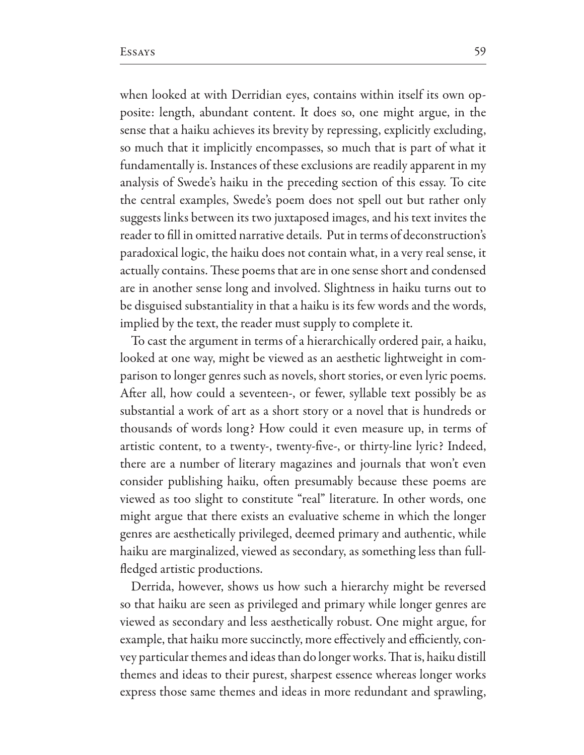when looked at with Derridian eyes, contains within itself its own opposite: length, abundant content. It does so, one might argue, in the sense that a haiku achieves its brevity by repressing, explicitly excluding, so much that it implicitly encompasses, so much that is part of what it fundamentally is. Instances of these exclusions are readily apparent in my analysis of Swede's haiku in the preceding section of this essay. To cite the central examples, Swede's poem does not spell out but rather only suggests links between its two juxtaposed images, and his text invites the reader to fill in omitted narrative details. Put in terms of deconstruction's paradoxical logic, the haiku does not contain what, in a very real sense, it actually contains. These poems that are in one sense short and condensed are in another sense long and involved. Slightness in haiku turns out to be disguised substantiality in that a haiku is its few words and the words, implied by the text, the reader must supply to complete it.

To cast the argument in terms of a hierarchically ordered pair, a haiku, looked at one way, might be viewed as an aesthetic lightweight in comparison to longer genres such as novels, short stories, or even lyric poems. After all, how could a seventeen-, or fewer, syllable text possibly be as substantial a work of art as a short story or a novel that is hundreds or thousands of words long? How could it even measure up, in terms of artistic content, to a twenty-, twenty-five-, or thirty-line lyric? Indeed, there are a number of literary magazines and journals that won't even consider publishing haiku, often presumably because these poems are viewed as too slight to constitute "real" literature. In other words, one might argue that there exists an evaluative scheme in which the longer genres are aesthetically privileged, deemed primary and authentic, while haiku are marginalized, viewed as secondary, as something less than fullfledged artistic productions.

Derrida, however, shows us how such a hierarchy might be reversed so that haiku are seen as privileged and primary while longer genres are viewed as secondary and less aesthetically robust. One might argue, for example, that haiku more succinctly, more effectively and efficiently, convey particular themes and ideas than do longer works. That is, haiku distill themes and ideas to their purest, sharpest essence whereas longer works express those same themes and ideas in more redundant and sprawling,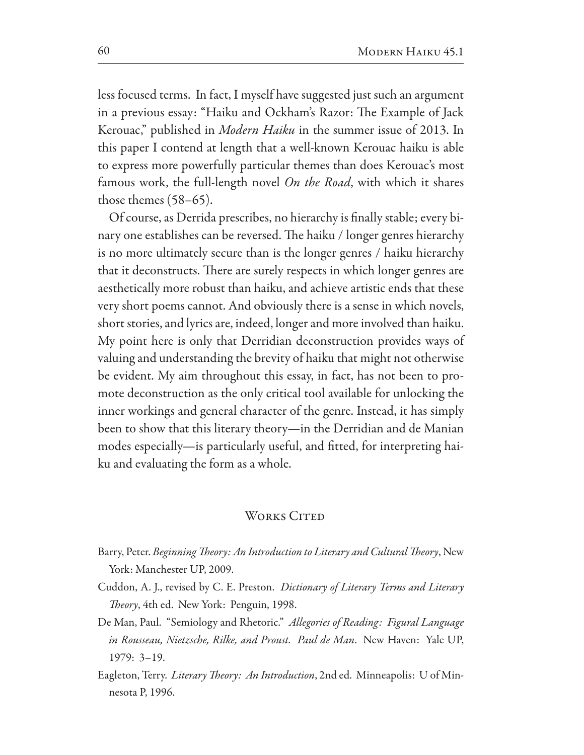less focused terms. In fact, I myself have suggested just such an argument in a previous essay: "Haiku and Ockham's Razor: The Example of Jack Kerouac," published in *Modern Haiku* in the summer issue of 2013. In this paper I contend at length that a well-known Kerouac haiku is able to express more powerfully particular themes than does Kerouac's most famous work, the full-length novel On the Road, with which it shares those themes  $(58-65)$ .

Of course, as Derrida prescribes, no hierarchy is finally stable; every binary one establishes can be reversed. The haiku / longer genres hierarchy is no more ultimately secure than is the longer genres / haiku hierarchy that it deconstructs. There are surely respects in which longer genres are aesthetically more robust than haiku, and achieve artistic ends that these very short poems cannot. And obviously there is a sense in which novels, short stories, and lyrics are, indeed, longer and more involved than haiku. My point here is only that Derridian deconstruction provides ways of valuing and understanding the brevity of haiku that might not otherwise be evident. My aim throughout this essay, in fact, has not been to promote deconstruction as the only critical tool available for unlocking the inner workings and general character of the genre. Instead, it has simply been to show that this literary theory—in the Derridian and de Manian modes especially-is particularly useful, and fitted, for interpreting haiku and evaluating the form as a whole.

## WORKS CITED

- Barry, Peter. Beginning Theory: An Introduction to Literary and Cultural Theory, New York: Manchester UP, 2009.
- Cuddon, A. J., revised by C. E. Preston. Dictionary of Literary Terms and Literary Theory, 4th ed. New York: Penguin, 1998.
- De Man, Paul. "Semiology and Rhetoric." Allegories of Reading: Figural Language in Rousseau, Nietzsche, Rilke, and Proust. Paul de Man. New Haven: Yale UP,  $1979: 3-19.$
- Eagleton, Terry. Literary Theory: An Introduction, 2nd ed. Minneapolis: U of Minnesota P, 1996.